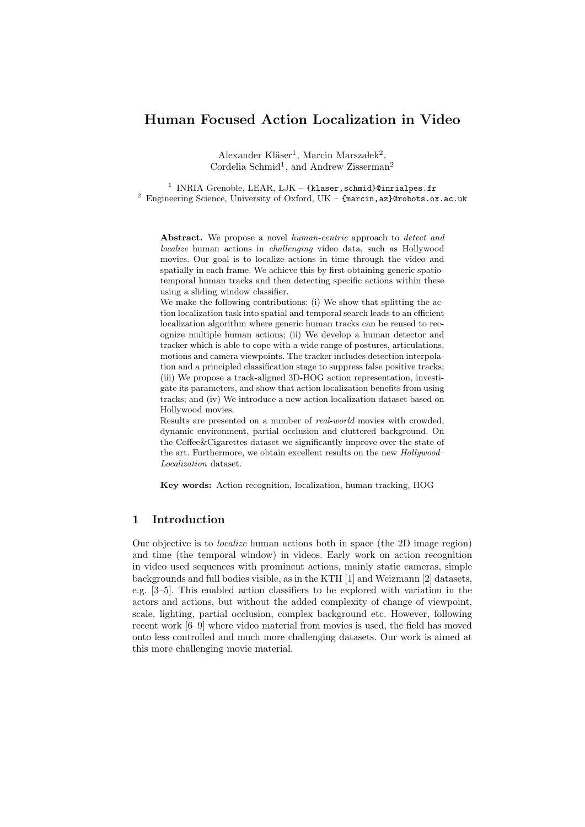Alexander Kläser<sup>1</sup>, Marcin Marszałek<sup>2</sup>, Cordelia Schmid<sup>1</sup>, and Andrew Zisserman<sup>2</sup>

<sup>1</sup> INRIA Grenoble, LEAR, LJK – {klaser, schmid}@inrialpes.fr <sup>2</sup> Engineering Science, University of Oxford, UK – {marcin, az}@robots.ox.ac.uk

Abstract. We propose a novel human-centric approach to detect and localize human actions in challenging video data, such as Hollywood movies. Our goal is to localize actions in time through the video and spatially in each frame. We achieve this by first obtaining generic spatiotemporal human tracks and then detecting specific actions within these using a sliding window classifier.

We make the following contributions: (i) We show that splitting the action localization task into spatial and temporal search leads to an efficient localization algorithm where generic human tracks can be reused to recognize multiple human actions; (ii) We develop a human detector and tracker which is able to cope with a wide range of postures, articulations, motions and camera viewpoints. The tracker includes detection interpolation and a principled classification stage to suppress false positive tracks; (iii) We propose a track-aligned 3D-HOG action representation, investigate its parameters, and show that action localization benefits from using tracks; and (iv) We introduce a new action localization dataset based on Hollywood movies.

Results are presented on a number of real-world movies with crowded, dynamic environment, partial occlusion and cluttered background. On the Coffee&Cigarettes dataset we significantly improve over the state of the art. Furthermore, we obtain excellent results on the new Hollywood– Localization dataset.

Key words: Action recognition, localization, human tracking, HOG

# 1 Introduction

Our objective is to localize human actions both in space (the 2D image region) and time (the temporal window) in videos. Early work on action recognition in video used sequences with prominent actions, mainly static cameras, simple backgrounds and full bodies visible, as in the KTH [1] and Weizmann [2] datasets, e.g. [3–5]. This enabled action classifiers to be explored with variation in the actors and actions, but without the added complexity of change of viewpoint, scale, lighting, partial occlusion, complex background etc. However, following recent work [6–9] where video material from movies is used, the field has moved onto less controlled and much more challenging datasets. Our work is aimed at this more challenging movie material.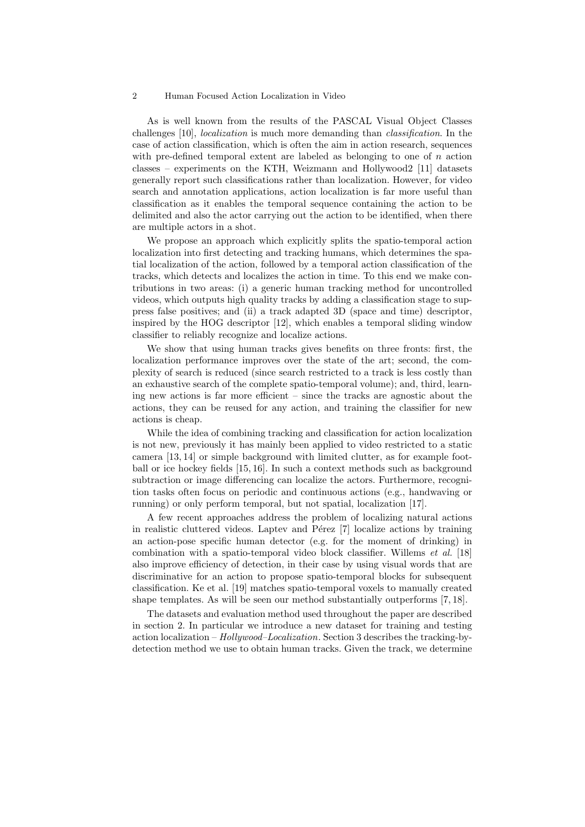As is well known from the results of the PASCAL Visual Object Classes challenges [10], localization is much more demanding than classification. In the case of action classification, which is often the aim in action research, sequences with pre-defined temporal extent are labeled as belonging to one of  $n$  action classes – experiments on the KTH, Weizmann and Hollywood2 [11] datasets generally report such classifications rather than localization. However, for video search and annotation applications, action localization is far more useful than classification as it enables the temporal sequence containing the action to be delimited and also the actor carrying out the action to be identified, when there are multiple actors in a shot.

We propose an approach which explicitly splits the spatio-temporal action localization into first detecting and tracking humans, which determines the spatial localization of the action, followed by a temporal action classification of the tracks, which detects and localizes the action in time. To this end we make contributions in two areas: (i) a generic human tracking method for uncontrolled videos, which outputs high quality tracks by adding a classification stage to suppress false positives; and (ii) a track adapted 3D (space and time) descriptor, inspired by the HOG descriptor [12], which enables a temporal sliding window classifier to reliably recognize and localize actions.

We show that using human tracks gives benefits on three fronts: first, the localization performance improves over the state of the art; second, the complexity of search is reduced (since search restricted to a track is less costly than an exhaustive search of the complete spatio-temporal volume); and, third, learning new actions is far more efficient – since the tracks are agnostic about the actions, they can be reused for any action, and training the classifier for new actions is cheap.

While the idea of combining tracking and classification for action localization is not new, previously it has mainly been applied to video restricted to a static camera [13,14] or simple background with limited clutter, as for example football or ice hockey fields [15,16]. In such a context methods such as background subtraction or image differencing can localize the actors. Furthermore, recognition tasks often focus on periodic and continuous actions (e.g., handwaving or running) or only perform temporal, but not spatial, localization [17].

A few recent approaches address the problem of localizing natural actions in realistic cluttered videos. Laptev and Pérez  $[7]$  localize actions by training an action-pose specific human detector (e.g. for the moment of drinking) in combination with a spatio-temporal video block classifier. Willems et al. [18] also improve efficiency of detection, in their case by using visual words that are discriminative for an action to propose spatio-temporal blocks for subsequent classification. Ke et al. [19] matches spatio-temporal voxels to manually created shape templates. As will be seen our method substantially outperforms [7,18].

The datasets and evaluation method used throughout the paper are described in section 2. In particular we introduce a new dataset for training and testing action localization – Hollywood–Localization. Section 3 describes the tracking-bydetection method we use to obtain human tracks. Given the track, we determine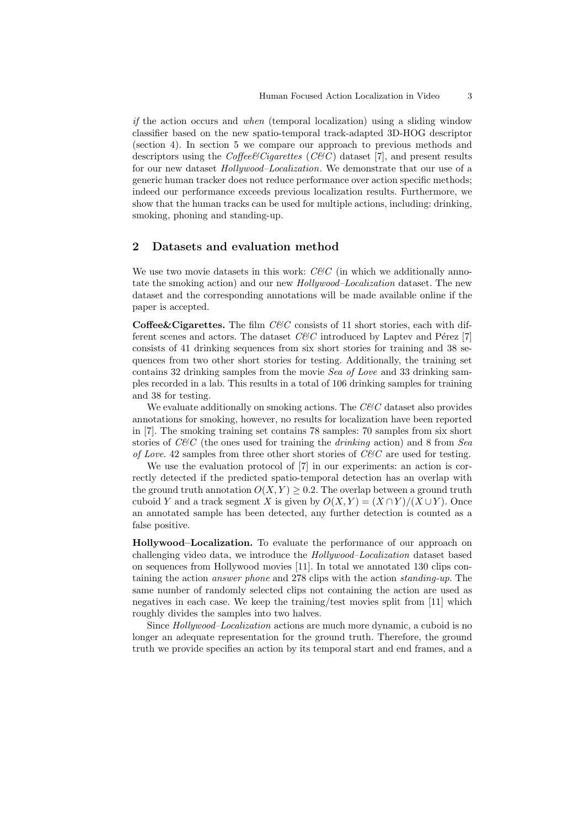if the action occurs and when (temporal localization) using a sliding window classifier based on the new spatio-temporal track-adapted 3D-HOG descriptor (section 4). In section 5 we compare our approach to previous methods and descriptors using the Coffee Cigarettes (C&C) dataset [7], and present results for our new dataset Hollywood–Localization. We demonstrate that our use of a generic human tracker does not reduce performance over action specific methods; indeed our performance exceeds previous localization results. Furthermore, we show that the human tracks can be used for multiple actions, including: drinking, smoking, phoning and standing-up.

# 2 Datasets and evaluation method

We use two movie datasets in this work:  $C\mathscr{C}C$  (in which we additionally annotate the smoking action) and our new Hollywood–Localization dataset. The new dataset and the corresponding annotations will be made available online if the paper is accepted.

**Coffee&Cigarettes.** The film  $C\&C$  consists of 11 short stories, each with different scenes and actors. The dataset  $C\&C$  introduced by Laptev and Pérez [7] consists of 41 drinking sequences from six short stories for training and 38 sequences from two other short stories for testing. Additionally, the training set contains 32 drinking samples from the movie *Sea of Love* and 33 drinking samples recorded in a lab. This results in a total of 106 drinking samples for training and 38 for testing.

We evaluate additionally on smoking actions. The  $C\&C$  dataset also provides annotations for smoking, however, no results for localization have been reported in [7]. The smoking training set contains 78 samples: 70 samples from six short stories of  $C\&C$  (the ones used for training the *drinking* action) and 8 from Sea of Love. 42 samples from three other short stories of  $C\&C$  are used for testing.

We use the evaluation protocol of [7] in our experiments: an action is correctly detected if the predicted spatio-temporal detection has an overlap with the ground truth annotation  $O(X, Y) > 0.2$ . The overlap between a ground truth cuboid Y and a track segment X is given by  $O(X, Y) = (X \cap Y)/(X \cup Y)$ . Once an annotated sample has been detected, any further detection is counted as a false positive.

Hollywood–Localization. To evaluate the performance of our approach on challenging video data, we introduce the Hollywood–Localization dataset based on sequences from Hollywood movies [11]. In total we annotated 130 clips containing the action answer phone and 278 clips with the action standing-up. The same number of randomly selected clips not containing the action are used as negatives in each case. We keep the training/test movies split from [11] which roughly divides the samples into two halves.

Since Hollywood–Localization actions are much more dynamic, a cuboid is no longer an adequate representation for the ground truth. Therefore, the ground truth we provide specifies an action by its temporal start and end frames, and a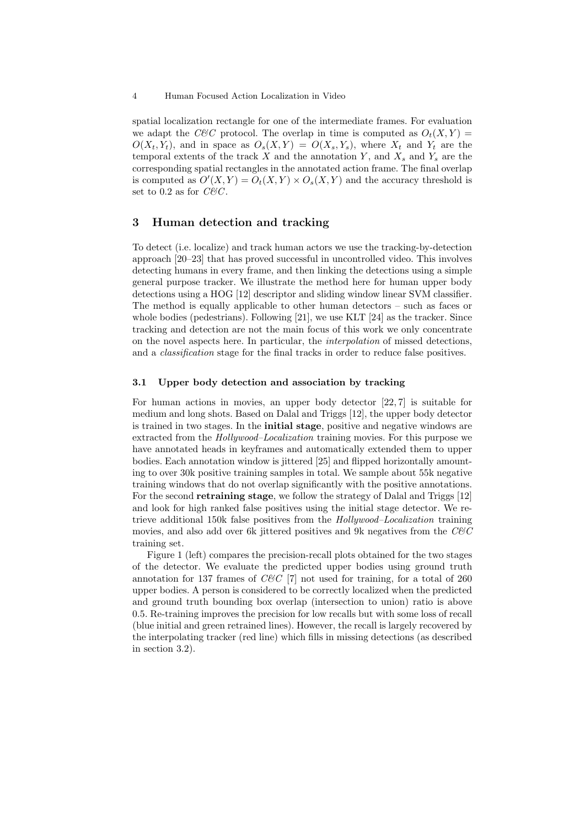spatial localization rectangle for one of the intermediate frames. For evaluation we adapt the C&C protocol. The overlap in time is computed as  $O_t(X, Y) =$  $O(X_t, Y_t)$ , and in space as  $O_s(X, Y) = O(X_s, Y_s)$ , where  $X_t$  and  $Y_t$  are the temporal extents of the track X and the annotation Y, and  $X_s$  and  $Y_s$  are the corresponding spatial rectangles in the annotated action frame. The final overlap is computed as  $O'(X,Y) = O_t(X,Y) \times O_s(X,Y)$  and the accuracy threshold is set to 0.2 as for  $C\mathcal{C}C$ .

# 3 Human detection and tracking

To detect (i.e. localize) and track human actors we use the tracking-by-detection approach [20–23] that has proved successful in uncontrolled video. This involves detecting humans in every frame, and then linking the detections using a simple general purpose tracker. We illustrate the method here for human upper body detections using a HOG [12] descriptor and sliding window linear SVM classifier. The method is equally applicable to other human detectors – such as faces or whole bodies (pedestrians). Following [21], we use KLT [24] as the tracker. Since tracking and detection are not the main focus of this work we only concentrate on the novel aspects here. In particular, the interpolation of missed detections, and a classification stage for the final tracks in order to reduce false positives.

## 3.1 Upper body detection and association by tracking

For human actions in movies, an upper body detector [22,7] is suitable for medium and long shots. Based on Dalal and Triggs [12], the upper body detector is trained in two stages. In the initial stage, positive and negative windows are extracted from the *Hollywood–Localization* training movies. For this purpose we have annotated heads in keyframes and automatically extended them to upper bodies. Each annotation window is jittered [25] and flipped horizontally amounting to over 30k positive training samples in total. We sample about 55k negative training windows that do not overlap significantly with the positive annotations. For the second **retraining stage**, we follow the strategy of Dalal and Triggs [12] and look for high ranked false positives using the initial stage detector. We retrieve additional 150k false positives from the Hollywood–Localization training movies, and also add over 6k jittered positives and 9k negatives from the  $CEC$ training set.

Figure 1 (left) compares the precision-recall plots obtained for the two stages of the detector. We evaluate the predicted upper bodies using ground truth annotation for 137 frames of  $CEC$  [7] not used for training, for a total of 260 upper bodies. A person is considered to be correctly localized when the predicted and ground truth bounding box overlap (intersection to union) ratio is above 0.5. Re-training improves the precision for low recalls but with some loss of recall (blue initial and green retrained lines). However, the recall is largely recovered by the interpolating tracker (red line) which fills in missing detections (as described in section 3.2).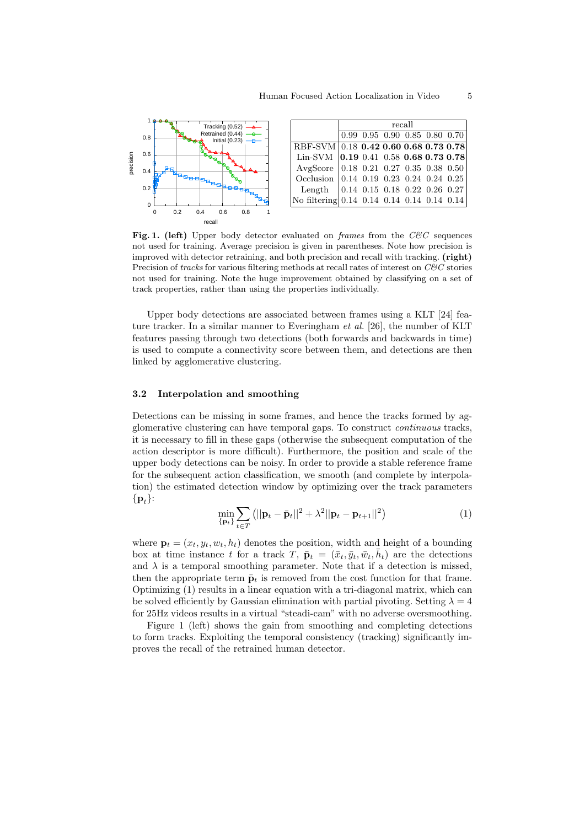

Fig. 1. (left) Upper body detector evaluated on frames from the  $C\&C$  sequences not used for training. Average precision is given in parentheses. Note how precision is improved with detector retraining, and both precision and recall with tracking. (right) Precision of tracks for various filtering methods at recall rates of interest on  $C\&C$  stories not used for training. Note the huge improvement obtained by classifying on a set of track properties, rather than using the properties individually.

Upper body detections are associated between frames using a KLT [24] feature tracker. In a similar manner to Everingham et al. [26], the number of KLT features passing through two detections (both forwards and backwards in time) is used to compute a connectivity score between them, and detections are then linked by agglomerative clustering.

## 3.2 Interpolation and smoothing

Detections can be missing in some frames, and hence the tracks formed by agglomerative clustering can have temporal gaps. To construct continuous tracks, it is necessary to fill in these gaps (otherwise the subsequent computation of the action descriptor is more difficult). Furthermore, the position and scale of the upper body detections can be noisy. In order to provide a stable reference frame for the subsequent action classification, we smooth (and complete by interpolation) the estimated detection window by optimizing over the track parameters  $\{ {\bf p}_t \}$ :

$$
\min_{\{\mathbf{p}_t\}} \sum_{t \in T} (||\mathbf{p}_t - \bar{\mathbf{p}}_t||^2 + \lambda^2 ||\mathbf{p}_t - \mathbf{p}_{t+1}||^2)
$$
\n(1)

where  $\mathbf{p}_t = (x_t, y_t, w_t, h_t)$  denotes the position, width and height of a bounding box at time instance t for a track  $T, \bar{\mathbf{p}}_t = (\bar{x}_t, \bar{y}_t, \bar{w}_t, \bar{h}_t)$  are the detections and  $\lambda$  is a temporal smoothing parameter. Note that if a detection is missed, then the appropriate term  $\bar{\mathbf{p}}_t$  is removed from the cost function for that frame. Optimizing (1) results in a linear equation with a tri-diagonal matrix, which can be solved efficiently by Gaussian elimination with partial pivoting. Setting  $\lambda = 4$ for 25Hz videos results in a virtual "steadi-cam" with no adverse oversmoothing.

Figure 1 (left) shows the gain from smoothing and completing detections to form tracks. Exploiting the temporal consistency (tracking) significantly improves the recall of the retrained human detector.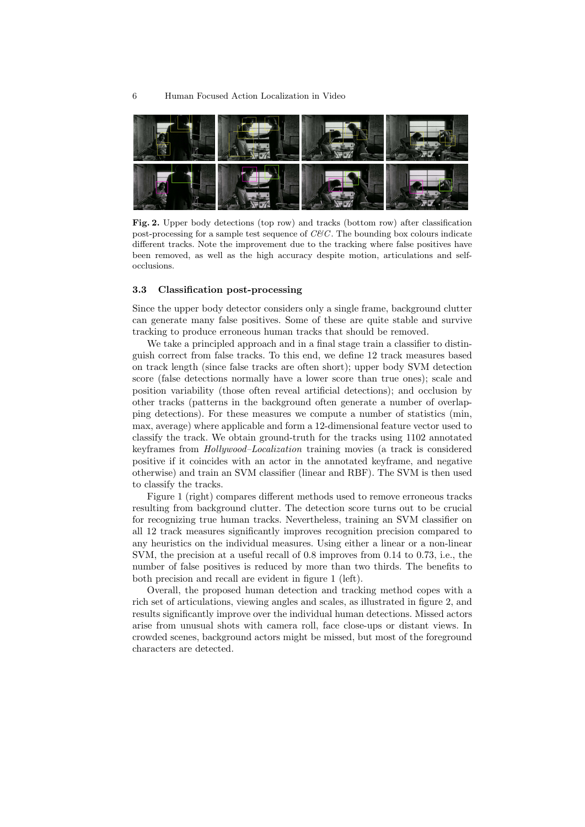

Fig. 2. Upper body detections (top row) and tracks (bottom row) after classification post-processing for a sample test sequence of  $C\&C$ . The bounding box colours indicate different tracks. Note the improvement due to the tracking where false positives have been removed, as well as the high accuracy despite motion, articulations and selfocclusions.

#### 3.3 Classification post-processing

Since the upper body detector considers only a single frame, background clutter can generate many false positives. Some of these are quite stable and survive tracking to produce erroneous human tracks that should be removed.

We take a principled approach and in a final stage train a classifier to distinguish correct from false tracks. To this end, we define 12 track measures based on track length (since false tracks are often short); upper body SVM detection score (false detections normally have a lower score than true ones); scale and position variability (those often reveal artificial detections); and occlusion by other tracks (patterns in the background often generate a number of overlapping detections). For these measures we compute a number of statistics (min, max, average) where applicable and form a 12-dimensional feature vector used to classify the track. We obtain ground-truth for the tracks using 1102 annotated keyframes from Hollywood–Localization training movies (a track is considered positive if it coincides with an actor in the annotated keyframe, and negative otherwise) and train an SVM classifier (linear and RBF). The SVM is then used to classify the tracks.

Figure 1 (right) compares different methods used to remove erroneous tracks resulting from background clutter. The detection score turns out to be crucial for recognizing true human tracks. Nevertheless, training an SVM classifier on all 12 track measures significantly improves recognition precision compared to any heuristics on the individual measures. Using either a linear or a non-linear SVM, the precision at a useful recall of 0.8 improves from 0.14 to 0.73, i.e., the number of false positives is reduced by more than two thirds. The benefits to both precision and recall are evident in figure 1 (left).

Overall, the proposed human detection and tracking method copes with a rich set of articulations, viewing angles and scales, as illustrated in figure 2, and results significantly improve over the individual human detections. Missed actors arise from unusual shots with camera roll, face close-ups or distant views. In crowded scenes, background actors might be missed, but most of the foreground characters are detected.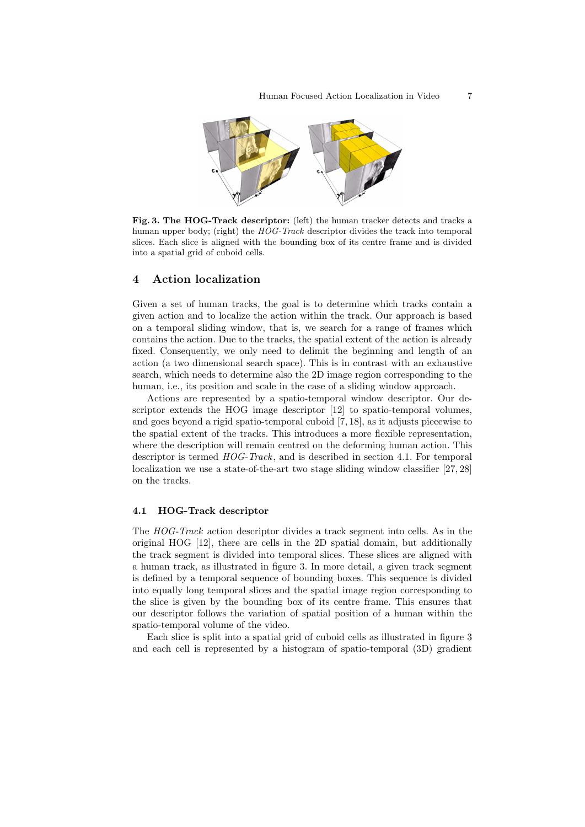

Fig. 3. The HOG-Track descriptor: (left) the human tracker detects and tracks a human upper body; (right) the HOG-Track descriptor divides the track into temporal slices. Each slice is aligned with the bounding box of its centre frame and is divided into a spatial grid of cuboid cells.

## 4 Action localization

Given a set of human tracks, the goal is to determine which tracks contain a given action and to localize the action within the track. Our approach is based on a temporal sliding window, that is, we search for a range of frames which contains the action. Due to the tracks, the spatial extent of the action is already fixed. Consequently, we only need to delimit the beginning and length of an action (a two dimensional search space). This is in contrast with an exhaustive search, which needs to determine also the 2D image region corresponding to the human, i.e., its position and scale in the case of a sliding window approach.

Actions are represented by a spatio-temporal window descriptor. Our descriptor extends the HOG image descriptor [12] to spatio-temporal volumes, and goes beyond a rigid spatio-temporal cuboid [7, 18], as it adjusts piecewise to the spatial extent of the tracks. This introduces a more flexible representation, where the description will remain centred on the deforming human action. This descriptor is termed  $HOG-Track$ , and is described in section 4.1. For temporal localization we use a state-of-the-art two stage sliding window classifier [27,28] on the tracks.

#### 4.1 HOG-Track descriptor

The HOG-Track action descriptor divides a track segment into cells. As in the original HOG [12], there are cells in the 2D spatial domain, but additionally the track segment is divided into temporal slices. These slices are aligned with a human track, as illustrated in figure 3. In more detail, a given track segment is defined by a temporal sequence of bounding boxes. This sequence is divided into equally long temporal slices and the spatial image region corresponding to the slice is given by the bounding box of its centre frame. This ensures that our descriptor follows the variation of spatial position of a human within the spatio-temporal volume of the video.

Each slice is split into a spatial grid of cuboid cells as illustrated in figure 3 and each cell is represented by a histogram of spatio-temporal (3D) gradient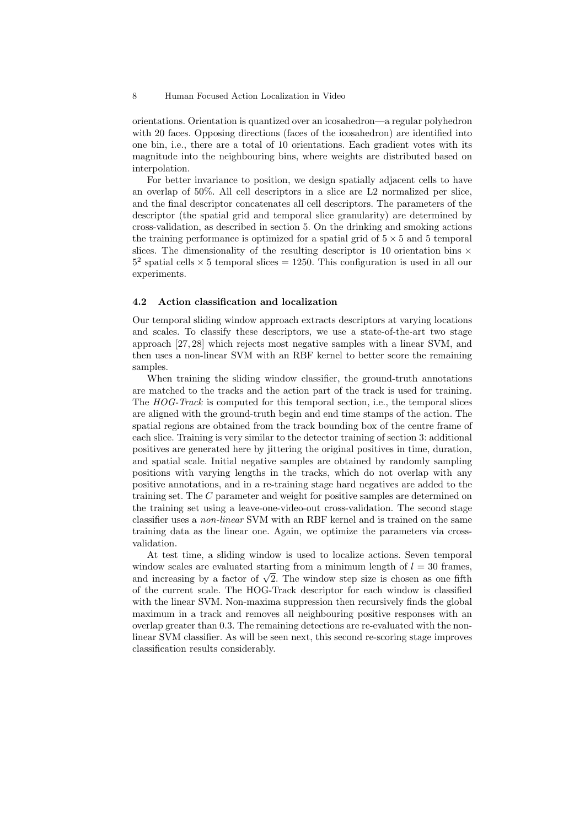orientations. Orientation is quantized over an icosahedron—a regular polyhedron with 20 faces. Opposing directions (faces of the icosahedron) are identified into one bin, i.e., there are a total of 10 orientations. Each gradient votes with its magnitude into the neighbouring bins, where weights are distributed based on interpolation.

For better invariance to position, we design spatially adjacent cells to have an overlap of 50%. All cell descriptors in a slice are L2 normalized per slice, and the final descriptor concatenates all cell descriptors. The parameters of the descriptor (the spatial grid and temporal slice granularity) are determined by cross-validation, as described in section 5. On the drinking and smoking actions the training performance is optimized for a spatial grid of  $5 \times 5$  and 5 temporal slices. The dimensionality of the resulting descriptor is 10 orientation bins  $\times$  $5<sup>2</sup>$  spatial cells  $\times$  5 temporal slices = 1250. This configuration is used in all our experiments.

#### 4.2 Action classification and localization

Our temporal sliding window approach extracts descriptors at varying locations and scales. To classify these descriptors, we use a state-of-the-art two stage approach [27,28] which rejects most negative samples with a linear SVM, and then uses a non-linear SVM with an RBF kernel to better score the remaining samples.

When training the sliding window classifier, the ground-truth annotations are matched to the tracks and the action part of the track is used for training. The HOG-Track is computed for this temporal section, i.e., the temporal slices are aligned with the ground-truth begin and end time stamps of the action. The spatial regions are obtained from the track bounding box of the centre frame of each slice. Training is very similar to the detector training of section 3: additional positives are generated here by jittering the original positives in time, duration, and spatial scale. Initial negative samples are obtained by randomly sampling positions with varying lengths in the tracks, which do not overlap with any positive annotations, and in a re-training stage hard negatives are added to the training set. The C parameter and weight for positive samples are determined on the training set using a leave-one-video-out cross-validation. The second stage classifier uses a non-linear SVM with an RBF kernel and is trained on the same training data as the linear one. Again, we optimize the parameters via crossvalidation.

At test time, a sliding window is used to localize actions. Seven temporal window scales are evaluated starting from a minimum length of  $l = 30$  frames, and increasing by a factor of  $\sqrt{2}$ . The window step size is chosen as one fifth of the current scale. The HOG-Track descriptor for each window is classified with the linear SVM. Non-maxima suppression then recursively finds the global maximum in a track and removes all neighbouring positive responses with an overlap greater than 0.3. The remaining detections are re-evaluated with the nonlinear SVM classifier. As will be seen next, this second re-scoring stage improves classification results considerably.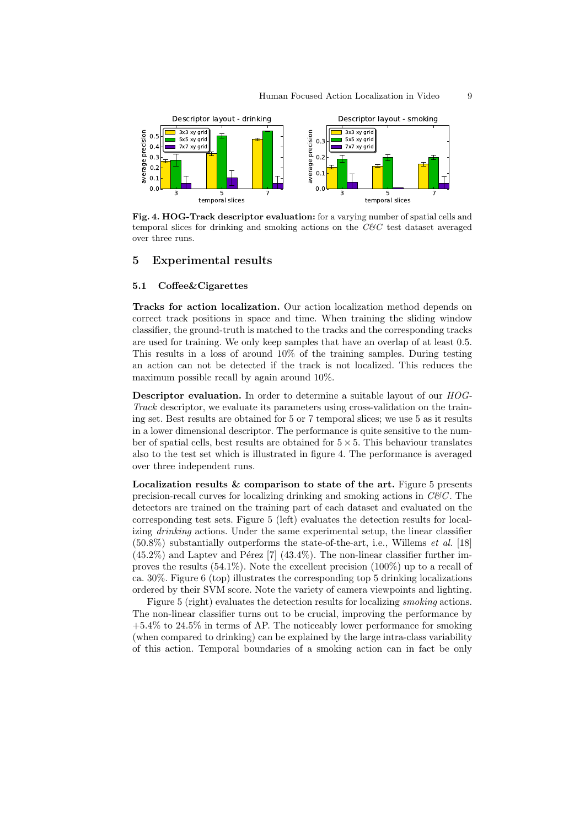

Fig. 4. HOG-Track descriptor evaluation: for a varying number of spatial cells and temporal slices for drinking and smoking actions on the  $C\&C$  test dataset averaged over three runs.

## 5 Experimental results

#### 5.1 Coffee&Cigarettes

Tracks for action localization. Our action localization method depends on correct track positions in space and time. When training the sliding window classifier, the ground-truth is matched to the tracks and the corresponding tracks are used for training. We only keep samples that have an overlap of at least 0.5. This results in a loss of around 10% of the training samples. During testing an action can not be detected if the track is not localized. This reduces the maximum possible recall by again around 10%.

Descriptor evaluation. In order to determine a suitable layout of our HOG-Track descriptor, we evaluate its parameters using cross-validation on the training set. Best results are obtained for 5 or 7 temporal slices; we use 5 as it results in a lower dimensional descriptor. The performance is quite sensitive to the number of spatial cells, best results are obtained for  $5 \times 5$ . This behaviour translates also to the test set which is illustrated in figure 4. The performance is averaged over three independent runs.

Localization results  $\&$  comparison to state of the art. Figure 5 presents precision-recall curves for localizing drinking and smoking actions in  $C\&C$ . The detectors are trained on the training part of each dataset and evaluated on the corresponding test sets. Figure 5 (left) evaluates the detection results for localizing drinking actions. Under the same experimental setup, the linear classifier  $(50.8\%)$  substantially outperforms the state-of-the-art, i.e., Willems *et al.* [18]  $(45.2\%)$  and Laptev and Pérez [7]  $(43.4\%)$ . The non-linear classifier further improves the results  $(54.1\%)$ . Note the excellent precision  $(100\%)$  up to a recall of ca. 30%. Figure 6 (top) illustrates the corresponding top 5 drinking localizations ordered by their SVM score. Note the variety of camera viewpoints and lighting.

Figure 5 (right) evaluates the detection results for localizing smoking actions. The non-linear classifier turns out to be crucial, improving the performance by +5.4% to 24.5% in terms of AP. The noticeably lower performance for smoking (when compared to drinking) can be explained by the large intra-class variability of this action. Temporal boundaries of a smoking action can in fact be only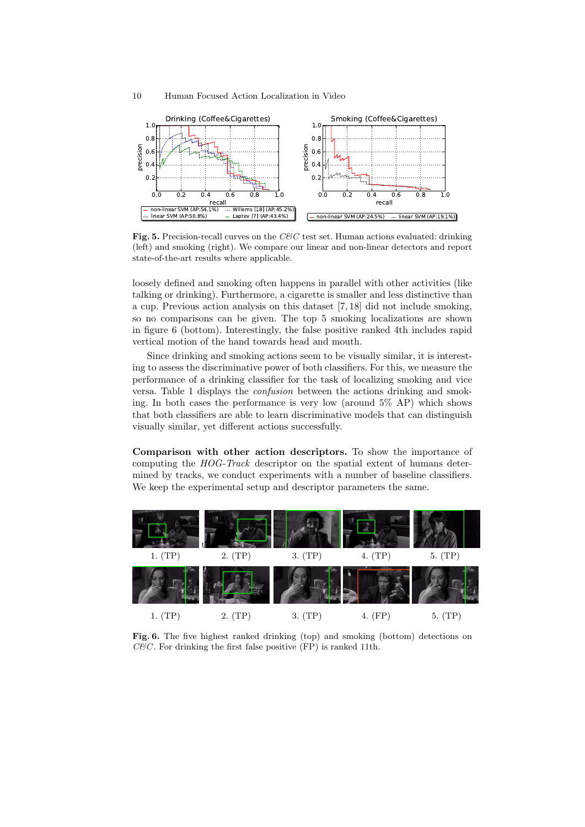

Fig. 5. Precision-recall curves on the  $C\&C$  test set. Human actions evaluated: drinking (left) and smoking (right). We compare our linear and non-linear detectors and report state-of-the-art results where applicable.

loosely defined and smoking often happens in parallel with other activities (like talking or drinking). Furthermore, a cigarette is smaller and less distinctive than a cup. Previous action analysis on this dataset [7, 18] did not include smoking, so no comparisons can be given. The top 5 smoking localizations are shown in figure 6 (bottom). Interestingly, the false positive ranked 4th includes rapid vertical motion of the hand towards head and mouth.

Since drinking and smoking actions seem to be visually similar, it is interesting to assess the discriminative power of both classifiers. For this, we measure the performance of a drinking classifier for the task of localizing smoking and vice versa. Table 1 displays the confusion between the actions drinking and smoking. In both cases the performance is very low (around 5% AP) which shows that both classifiers are able to learn discriminative models that can distinguish visually similar, yet different actions successfully.

Comparison with other action descriptors. To show the importance of computing the HOG-Track descriptor on the spatial extent of humans determined by tracks, we conduct experiments with a number of baseline classifiers. We keep the experimental setup and descriptor parameters the same.



Fig. 6. The five highest ranked drinking (top) and smoking (bottom) detections on  $C\mathcal{C}C$ . For drinking the first false positive (FP) is ranked 11th.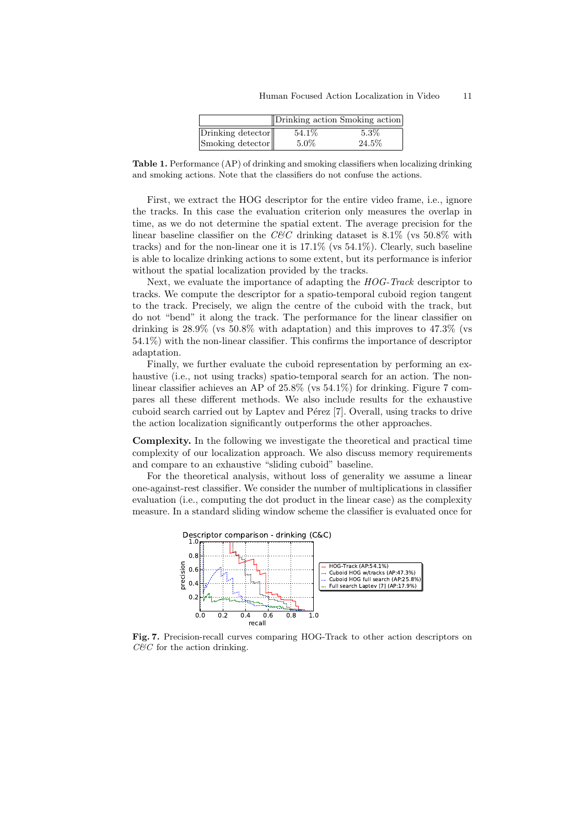|                   | Drinking action Smoking action |         |
|-------------------|--------------------------------|---------|
| Drinking detector | 54.1\%                         | $5.3\%$ |
| Smoking detector  | $5.0\%$                        | 24.5%   |

Table 1. Performance (AP) of drinking and smoking classifiers when localizing drinking and smoking actions. Note that the classifiers do not confuse the actions.

First, we extract the HOG descriptor for the entire video frame, i.e., ignore the tracks. In this case the evaluation criterion only measures the overlap in time, as we do not determine the spatial extent. The average precision for the linear baseline classifier on the  $CEC$  drinking dataset is 8.1% (vs 50.8% with tracks) and for the non-linear one it is 17.1% (vs 54.1%). Clearly, such baseline is able to localize drinking actions to some extent, but its performance is inferior without the spatial localization provided by the tracks.

Next, we evaluate the importance of adapting the HOG-Track descriptor to tracks. We compute the descriptor for a spatio-temporal cuboid region tangent to the track. Precisely, we align the centre of the cuboid with the track, but do not "bend" it along the track. The performance for the linear classifier on drinking is  $28.9\%$  (vs  $50.8\%$  with adaptation) and this improves to  $47.3\%$  (vs 54.1%) with the non-linear classifier. This confirms the importance of descriptor adaptation.

Finally, we further evaluate the cuboid representation by performing an exhaustive (i.e., not using tracks) spatio-temporal search for an action. The nonlinear classifier achieves an AP of 25.8% (vs 54.1%) for drinking. Figure 7 compares all these different methods. We also include results for the exhaustive cuboid search carried out by Laptev and Pérez [7]. Overall, using tracks to drive the action localization significantly outperforms the other approaches.

Complexity. In the following we investigate the theoretical and practical time complexity of our localization approach. We also discuss memory requirements and compare to an exhaustive "sliding cuboid" baseline.

For the theoretical analysis, without loss of generality we assume a linear one-against-rest classifier. We consider the number of multiplications in classifier evaluation (i.e., computing the dot product in the linear case) as the complexity measure. In a standard sliding window scheme the classifier is evaluated once for



Fig. 7. Precision-recall curves comparing HOG-Track to other action descriptors on  $C\&C$  for the action drinking.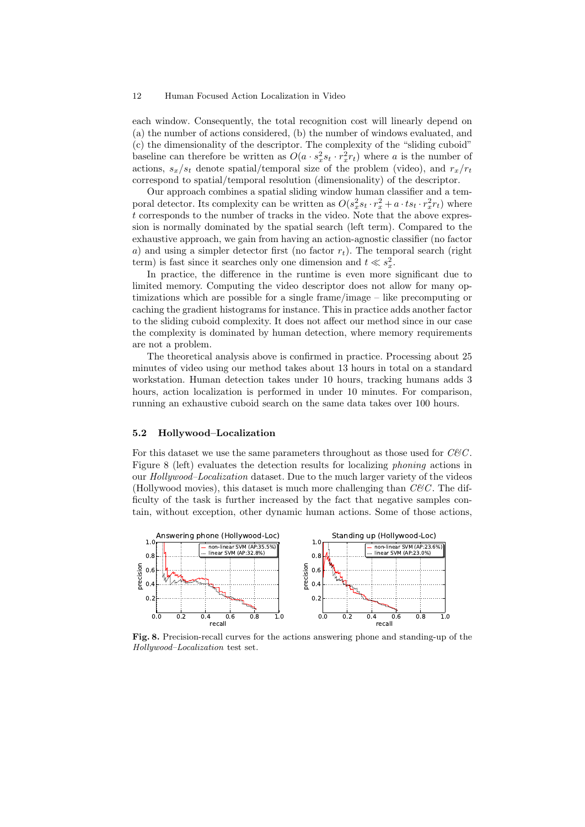each window. Consequently, the total recognition cost will linearly depend on (a) the number of actions considered, (b) the number of windows evaluated, and (c) the dimensionality of the descriptor. The complexity of the "sliding cuboid" baseline can therefore be written as  $O(a \cdot s_x^2 s_t \cdot r_x^2 r_t)$  where a is the number of actions,  $s_x/s_t$  denote spatial/temporal size of the problem (video), and  $r_x/r_t$ correspond to spatial/temporal resolution (dimensionality) of the descriptor.

Our approach combines a spatial sliding window human classifier and a temporal detector. Its complexity can be written as  $O(s_x^2 s_t \cdot r_x^2 + a \cdot ts_t \cdot r_x^2 r_t)$  where t corresponds to the number of tracks in the video. Note that the above expression is normally dominated by the spatial search (left term). Compared to the exhaustive approach, we gain from having an action-agnostic classifier (no factor a) and using a simpler detector first (no factor  $r_t$ ). The temporal search (right term) is fast since it searches only one dimension and  $t \ll s_x^2$ .

In practice, the difference in the runtime is even more significant due to limited memory. Computing the video descriptor does not allow for many optimizations which are possible for a single frame/image – like precomputing or caching the gradient histograms for instance. This in practice adds another factor to the sliding cuboid complexity. It does not affect our method since in our case the complexity is dominated by human detection, where memory requirements are not a problem.

The theoretical analysis above is confirmed in practice. Processing about 25 minutes of video using our method takes about 13 hours in total on a standard workstation. Human detection takes under 10 hours, tracking humans adds 3 hours, action localization is performed in under 10 minutes. For comparison, running an exhaustive cuboid search on the same data takes over 100 hours.

## 5.2 Hollywood–Localization

For this dataset we use the same parameters throughout as those used for  $C\&C$ . Figure 8 (left) evaluates the detection results for localizing phoning actions in our Hollywood–Localization dataset. Due to the much larger variety of the videos (Hollywood movies), this dataset is much more challenging than  $C\&C$ . The difficulty of the task is further increased by the fact that negative samples contain, without exception, other dynamic human actions. Some of those actions,



Fig. 8. Precision-recall curves for the actions answering phone and standing-up of the Hollywood–Localization test set.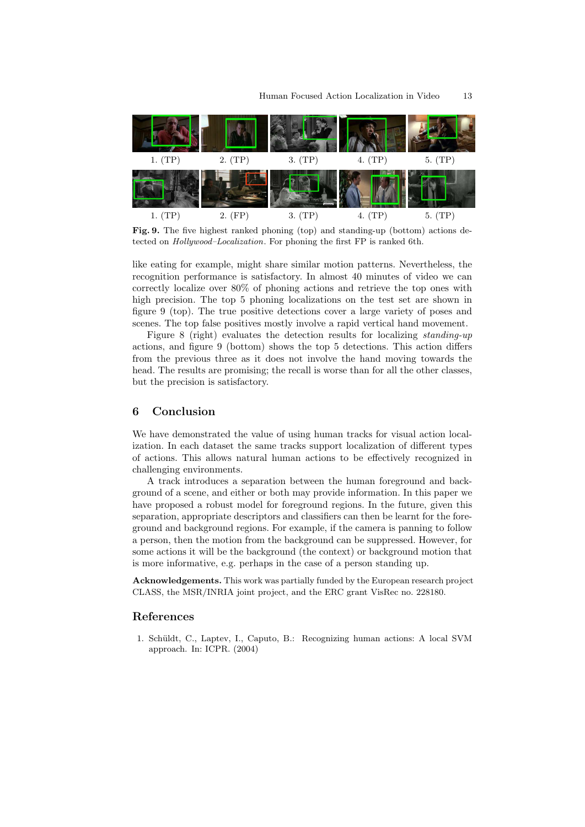

Fig. 9. The five highest ranked phoning (top) and standing-up (bottom) actions detected on Hollywood–Localization. For phoning the first FP is ranked 6th.

like eating for example, might share similar motion patterns. Nevertheless, the recognition performance is satisfactory. In almost 40 minutes of video we can correctly localize over 80% of phoning actions and retrieve the top ones with high precision. The top 5 phoning localizations on the test set are shown in figure 9 (top). The true positive detections cover a large variety of poses and scenes. The top false positives mostly involve a rapid vertical hand movement.

Figure 8 (right) evaluates the detection results for localizing standing-up actions, and figure 9 (bottom) shows the top 5 detections. This action differs from the previous three as it does not involve the hand moving towards the head. The results are promising; the recall is worse than for all the other classes, but the precision is satisfactory.

# 6 Conclusion

We have demonstrated the value of using human tracks for visual action localization. In each dataset the same tracks support localization of different types of actions. This allows natural human actions to be effectively recognized in challenging environments.

A track introduces a separation between the human foreground and background of a scene, and either or both may provide information. In this paper we have proposed a robust model for foreground regions. In the future, given this separation, appropriate descriptors and classifiers can then be learnt for the foreground and background regions. For example, if the camera is panning to follow a person, then the motion from the background can be suppressed. However, for some actions it will be the background (the context) or background motion that is more informative, e.g. perhaps in the case of a person standing up.

Acknowledgements. This work was partially funded by the European research project CLASS, the MSR/INRIA joint project, and the ERC grant VisRec no. 228180.

# References

1. Sch¨uldt, C., Laptev, I., Caputo, B.: Recognizing human actions: A local SVM approach. In: ICPR. (2004)